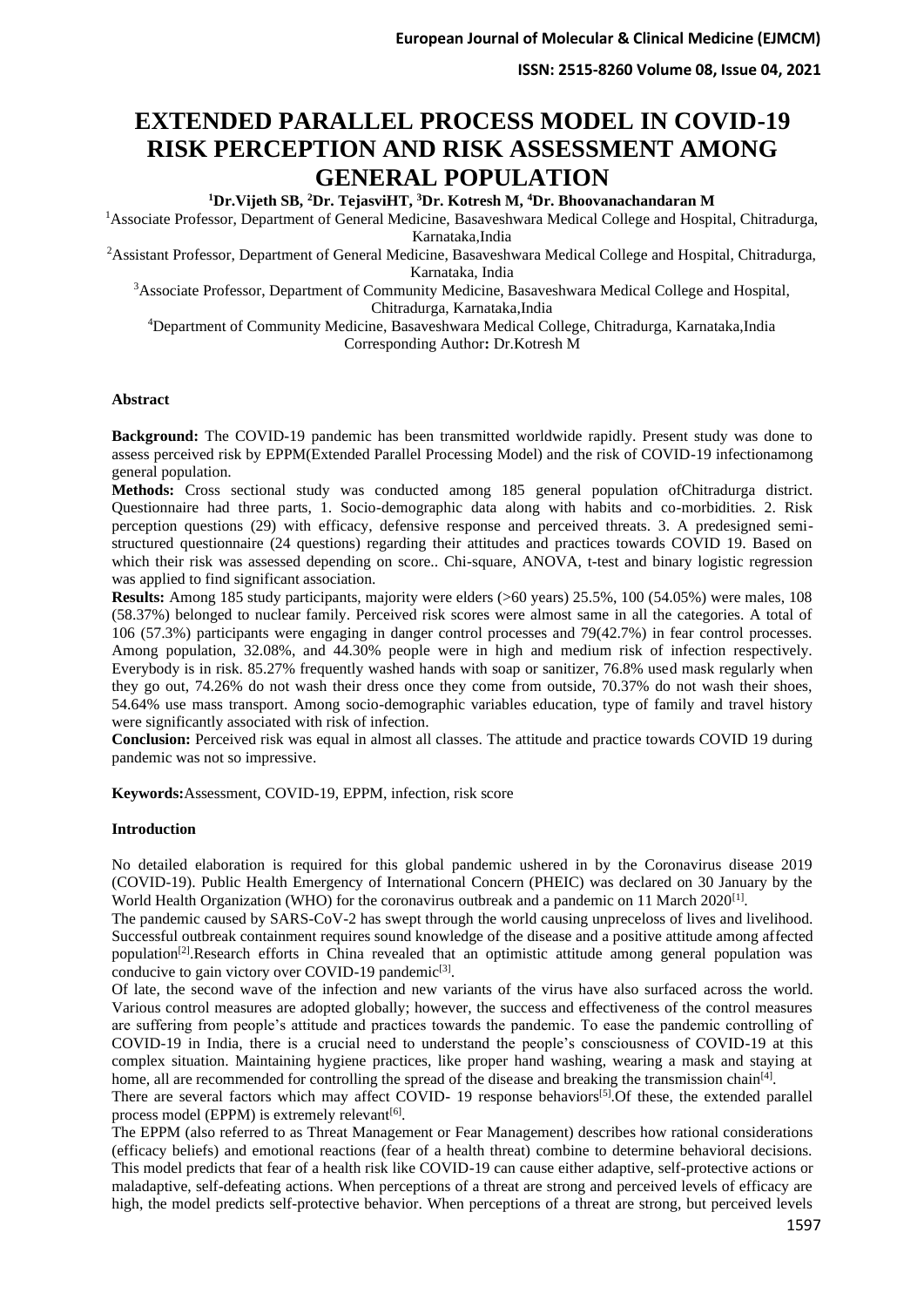# **EXTENDED PARALLEL PROCESS MODEL IN COVID-19 RISK PERCEPTION AND RISK ASSESSMENT AMONG GENERAL POPULATION**

**<sup>1</sup>Dr.Vijeth SB, <sup>2</sup>Dr. TejasviHT, <sup>3</sup>Dr. Kotresh M, <sup>4</sup>Dr. Bhoovanachandaran M**

<sup>1</sup>Associate Professor, Department of General Medicine, Basaveshwara Medical College and Hospital, Chitradurga, Karnataka,India

<sup>2</sup>Assistant Professor, Department of General Medicine, Basaveshwara Medical College and Hospital, Chitradurga, Karnataka, India

<sup>3</sup>Associate Professor, Department of Community Medicine, Basaveshwara Medical College and Hospital, Chitradurga, Karnataka,India

<sup>4</sup>Department of Community Medicine, Basaveshwara Medical College, Chitradurga, Karnataka,India Corresponding Author**:** Dr.Kotresh M

#### **Abstract**

**Background:** The COVID-19 pandemic has been transmitted worldwide rapidly. Present study was done to assess perceived risk by EPPM(Extended Parallel Processing Model) and the risk of COVID-19 infectionamong general population.

**Methods:** Cross sectional study was conducted among 185 general population ofChitradurga district. Questionnaire had three parts, 1. Socio-demographic data along with habits and co-morbidities. 2. Risk perception questions (29) with efficacy, defensive response and perceived threats. 3. A predesigned semistructured questionnaire (24 questions) regarding their attitudes and practices towards COVID 19. Based on which their risk was assessed depending on score.. Chi-square, ANOVA, t-test and binary logistic regression was applied to find significant association.

**Results:** Among 185 study participants, majority were elders (>60 years) 25.5%, 100 (54.05%) were males, 108 (58.37%) belonged to nuclear family. Perceived risk scores were almost same in all the categories. A total of 106 (57.3%) participants were engaging in danger control processes and 79(42.7%) in fear control processes. Among population, 32.08%, and 44.30% people were in high and medium risk of infection respectively. Everybody is in risk. 85.27% frequently washed hands with soap or sanitizer, 76.8% used mask regularly when they go out, 74.26% do not wash their dress once they come from outside, 70.37% do not wash their shoes, 54.64% use mass transport. Among socio-demographic variables education, type of family and travel history were significantly associated with risk of infection.

**Conclusion:** Perceived risk was equal in almost all classes. The attitude and practice towards COVID 19 during pandemic was not so impressive.

**Keywords:**Assessment, COVID-19, EPPM, infection, risk score

#### **Introduction**

No detailed elaboration is required for this global pandemic ushered in by the Coronavirus disease 2019 (COVID-19). Public Health Emergency of International Concern (PHEIC) was declared on 30 January by the World Health Organization (WHO) for the coronavirus outbreak and a pandemic on 11 March 2020<sup>[1]</sup>.

The pandemic caused by SARS-CoV-2 has swept through the world causing unpreceloss of lives and livelihood. Successful outbreak containment requires sound knowledge of the disease and a positive attitude among affected population[2].Research efforts in China revealed that an optimistic attitude among general population was conducive to gain victory over COVID-19 pandemic<sup>[3]</sup>.

Of late, the second wave of the infection and new variants of the virus have also surfaced across the world. Various control measures are adopted globally; however, the success and effectiveness of the control measures are suffering from people's attitude and practices towards the pandemic. To ease the pandemic controlling of COVID-19 in India, there is a crucial need to understand the people's consciousness of COVID-19 at this complex situation. Maintaining hygiene practices, like proper hand washing, wearing a mask and staying at home, all are recommended for controlling the spread of the disease and breaking the transmission chain<sup>[4]</sup>.

There are several factors which may affect COVID- 19 response behaviors<sup>[5]</sup>. Of these, the extended parallel process model (EPPM) is extremely relevant<sup>[6]</sup>.

The EPPM (also referred to as Threat Management or Fear Management) describes how rational considerations (efficacy beliefs) and emotional reactions (fear of a health threat) combine to determine behavioral decisions. This model predicts that fear of a health risk like COVID-19 can cause either adaptive, self-protective actions or maladaptive, self-defeating actions. When perceptions of a threat are strong and perceived levels of efficacy are high, the model predicts self-protective behavior. When perceptions of a threat are strong, but perceived levels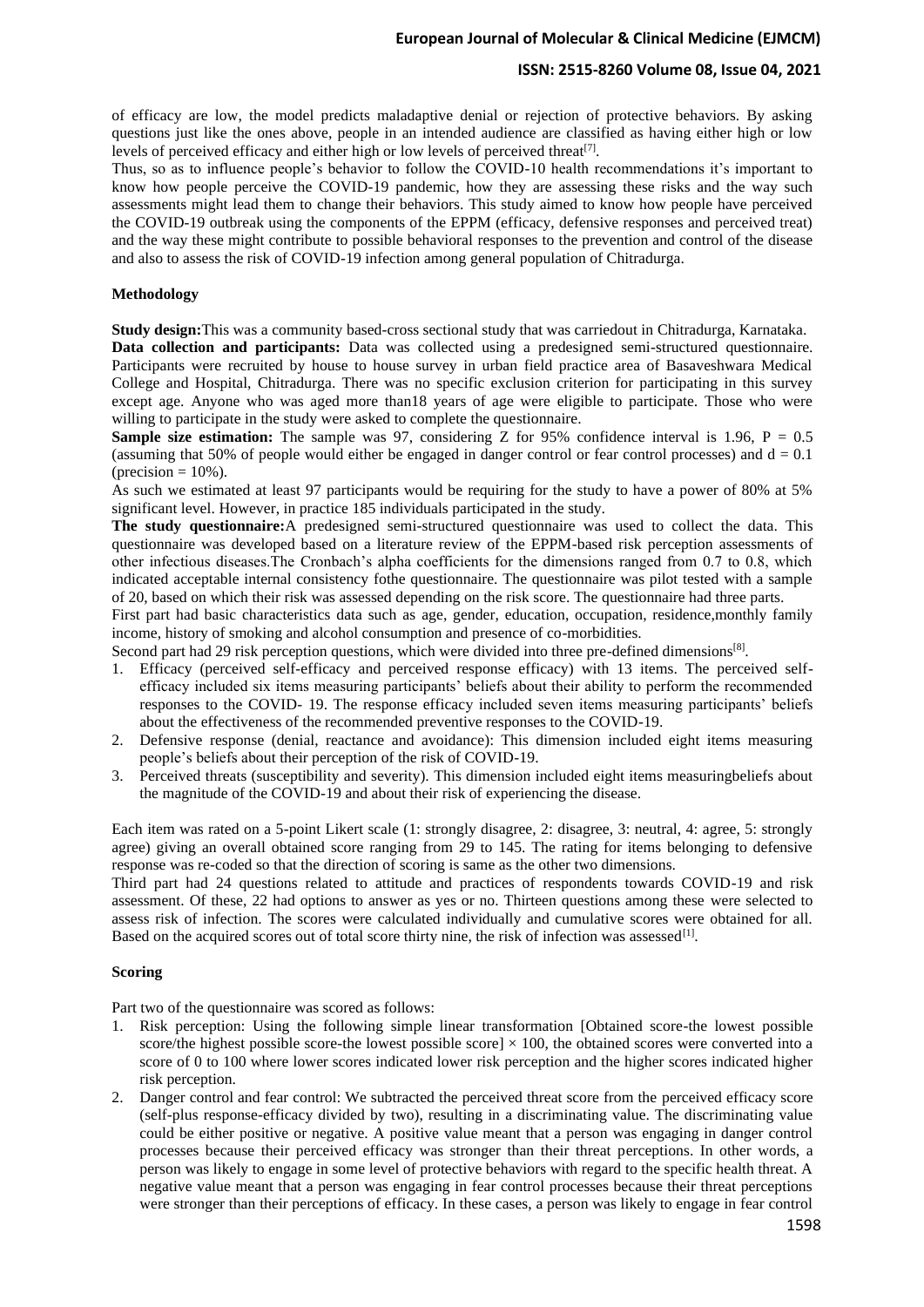### **ISSN: 2515-8260 Volume 08, Issue 04, 2021**

of efficacy are low, the model predicts maladaptive denial or rejection of protective behaviors. By asking questions just like the ones above, people in an intended audience are classified as having either high or low levels of perceived efficacy and either high or low levels of perceived threat<sup>[7]</sup>.

Thus, so as to influence people's behavior to follow the COVID-10 health recommendations it's important to know how people perceive the COVID-19 pandemic, how they are assessing these risks and the way such assessments might lead them to change their behaviors. This study aimed to know how people have perceived the COVID-19 outbreak using the components of the EPPM (efficacy, defensive responses and perceived treat) and the way these might contribute to possible behavioral responses to the prevention and control of the disease and also to assess the risk of COVID-19 infection among general population of Chitradurga.

#### **Methodology**

**Study design:**This was a community based-cross sectional study that was carriedout in Chitradurga, Karnataka. **Data collection and participants:** Data was collected using a predesigned semi-structured questionnaire. Participants were recruited by house to house survey in urban field practice area of Basaveshwara Medical College and Hospital, Chitradurga. There was no specific exclusion criterion for participating in this survey except age. Anyone who was aged more than18 years of age were eligible to participate. Those who were willing to participate in the study were asked to complete the questionnaire.

**Sample size estimation:** The sample was 97, considering  $\overline{Z}$  for 95% confidence interval is 1.96, P = 0.5 (assuming that 50% of people would either be engaged in danger control or fear control processes) and  $d = 0.1$ (precision  $= 10\%$ ).

As such we estimated at least 97 participants would be requiring for the study to have a power of 80% at 5% significant level. However, in practice 185 individuals participated in the study.

**The study questionnaire:**A predesigned semi-structured questionnaire was used to collect the data. This questionnaire was developed based on a literature review of the EPPM-based risk perception assessments of other infectious diseases.The Cronbach's alpha coefficients for the dimensions ranged from 0.7 to 0.8, which indicated acceptable internal consistency fothe questionnaire. The questionnaire was pilot tested with a sample of 20, based on which their risk was assessed depending on the risk score. The questionnaire had three parts.

First part had basic characteristics data such as age, gender, education, occupation, residence,monthly family income, history of smoking and alcohol consumption and presence of co-morbidities.

Second part had 29 risk perception questions, which were divided into three pre-defined dimensions<sup>[8]</sup>.

- 1. Efficacy (perceived self-efficacy and perceived response efficacy) with 13 items. The perceived selfefficacy included six items measuring participants' beliefs about their ability to perform the recommended responses to the COVID- 19. The response efficacy included seven items measuring participants' beliefs about the effectiveness of the recommended preventive responses to the COVID-19.
- 2. Defensive response (denial, reactance and avoidance): This dimension included eight items measuring people's beliefs about their perception of the risk of COVID-19.
- 3. Perceived threats (susceptibility and severity). This dimension included eight items measuringbeliefs about the magnitude of the COVID-19 and about their risk of experiencing the disease.

Each item was rated on a 5-point Likert scale (1: strongly disagree, 2: disagree, 3: neutral, 4: agree, 5: strongly agree) giving an overall obtained score ranging from 29 to 145. The rating for items belonging to defensive response was re-coded so that the direction of scoring is same as the other two dimensions.

Third part had 24 questions related to attitude and practices of respondents towards COVID-19 and risk assessment. Of these, 22 had options to answer as yes or no. Thirteen questions among these were selected to assess risk of infection. The scores were calculated individually and cumulative scores were obtained for all. Based on the acquired scores out of total score thirty nine, the risk of infection was assessed<sup>[1]</sup>.

### **Scoring**

Part two of the questionnaire was scored as follows:

- 1. Risk perception: Using the following simple linear transformation [Obtained score-the lowest possible score/the highest possible score-the lowest possible score]  $\times$  100, the obtained scores were converted into a score of 0 to 100 where lower scores indicated lower risk perception and the higher scores indicated higher risk perception.
- 2. Danger control and fear control: We subtracted the perceived threat score from the perceived efficacy score (self-plus response-efficacy divided by two), resulting in a discriminating value. The discriminating value could be either positive or negative. A positive value meant that a person was engaging in danger control processes because their perceived efficacy was stronger than their threat perceptions. In other words, a person was likely to engage in some level of protective behaviors with regard to the specific health threat. A negative value meant that a person was engaging in fear control processes because their threat perceptions were stronger than their perceptions of efficacy. In these cases, a person was likely to engage in fear control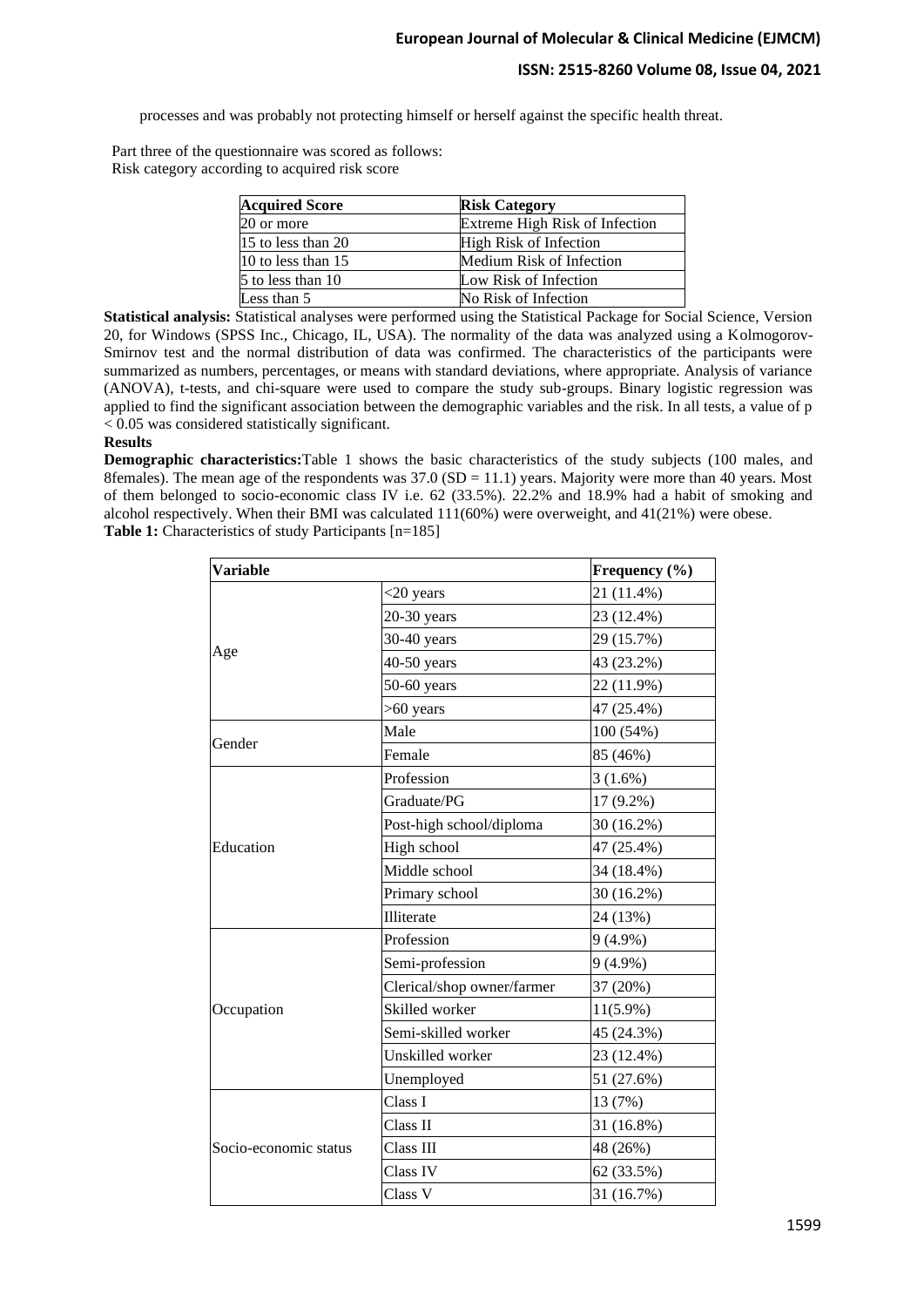### **ISSN: 2515-8260 Volume 08, Issue 04, 2021**

processes and was probably not protecting himself or herself against the specific health threat.

Part three of the questionnaire was scored as follows: Risk category according to acquired risk score

| <b>Acquired Score</b> | <b>Risk Category</b>           |
|-----------------------|--------------------------------|
| 20 or more            | Extreme High Risk of Infection |
| 15 to less than 20    | High Risk of Infection         |
| $10$ to less than 15  | Medium Risk of Infection       |
| 5 to less than 10     | Low Risk of Infection          |
| Less than 5           | No Risk of Infection           |

**Statistical analysis:** Statistical analyses were performed using the Statistical Package for Social Science, Version 20, for Windows (SPSS Inc., Chicago, IL, USA). The normality of the data was analyzed using a Kolmogorov-Smirnov test and the normal distribution of data was confirmed. The characteristics of the participants were summarized as numbers, percentages, or means with standard deviations, where appropriate. Analysis of variance (ANOVA), t-tests, and chi-square were used to compare the study sub-groups. Binary logistic regression was applied to find the significant association between the demographic variables and the risk. In all tests, a value of p < 0.05 was considered statistically significant.

#### **Results**

**Demographic characteristics:**Table 1 shows the basic characteristics of the study subjects (100 males, and 8females). The mean age of the respondents was  $37.0$  (SD = 11.1) years. Majority were more than 40 years. Most of them belonged to socio-economic class IV i.e. 62 (33.5%). 22.2% and 18.9% had a habit of smoking and alcohol respectively. When their BMI was calculated 111(60%) were overweight, and 41(21%) were obese. **Table 1:** Characteristics of study Participants [n=185]

| <b>Variable</b>       |                                                                                                                                                                                                                                                                                      | Frequency (%) |
|-----------------------|--------------------------------------------------------------------------------------------------------------------------------------------------------------------------------------------------------------------------------------------------------------------------------------|---------------|
|                       | $<$ 20 years                                                                                                                                                                                                                                                                         | 21 (11.4%)    |
|                       | $20-30$ years                                                                                                                                                                                                                                                                        | 23 (12.4%)    |
|                       | $30-40$ years                                                                                                                                                                                                                                                                        | 29 (15.7%)    |
| Age                   | $40-50$ years                                                                                                                                                                                                                                                                        | 43 (23.2%)    |
|                       | $50-60$ years                                                                                                                                                                                                                                                                        | 22 (11.9%)    |
|                       | $>60$ years                                                                                                                                                                                                                                                                          | 47 (25.4%)    |
|                       | Male                                                                                                                                                                                                                                                                                 | 100(54%)      |
| Gender                | Female<br>Profession<br>Graduate/PG<br>Post-high school/diploma<br>High school<br>Middle school<br>Primary school<br>Illiterate<br>Profession<br>Semi-profession<br>Clerical/shop owner/farmer<br>Skilled worker<br>Semi-skilled worker<br>Unskilled worker<br>Unemployed<br>Class I | 85 (46%)      |
|                       |                                                                                                                                                                                                                                                                                      | 3(1.6%)       |
|                       |                                                                                                                                                                                                                                                                                      | 17 (9.2%)     |
|                       |                                                                                                                                                                                                                                                                                      | 30 (16.2%)    |
| Education             |                                                                                                                                                                                                                                                                                      | 47 (25.4%)    |
|                       |                                                                                                                                                                                                                                                                                      | 34 (18.4%)    |
|                       |                                                                                                                                                                                                                                                                                      | 30 (16.2%)    |
|                       |                                                                                                                                                                                                                                                                                      | 24 (13%)      |
|                       |                                                                                                                                                                                                                                                                                      | $9(4.9\%)$    |
|                       |                                                                                                                                                                                                                                                                                      | $9(4.9\%)$    |
|                       |                                                                                                                                                                                                                                                                                      | 37 (20%)      |
| Occupation            |                                                                                                                                                                                                                                                                                      | $11(5.9\%)$   |
|                       |                                                                                                                                                                                                                                                                                      | 45 (24.3%)    |
|                       |                                                                                                                                                                                                                                                                                      | 23 (12.4%)    |
|                       |                                                                                                                                                                                                                                                                                      | 51 (27.6%)    |
|                       |                                                                                                                                                                                                                                                                                      | 13 (7%)       |
|                       | Class II                                                                                                                                                                                                                                                                             | 31 (16.8%)    |
| Socio-economic status | Class III                                                                                                                                                                                                                                                                            | 48 (26%)      |
|                       | Class IV                                                                                                                                                                                                                                                                             | 62 (33.5%)    |
|                       | Class V                                                                                                                                                                                                                                                                              | 31 (16.7%)    |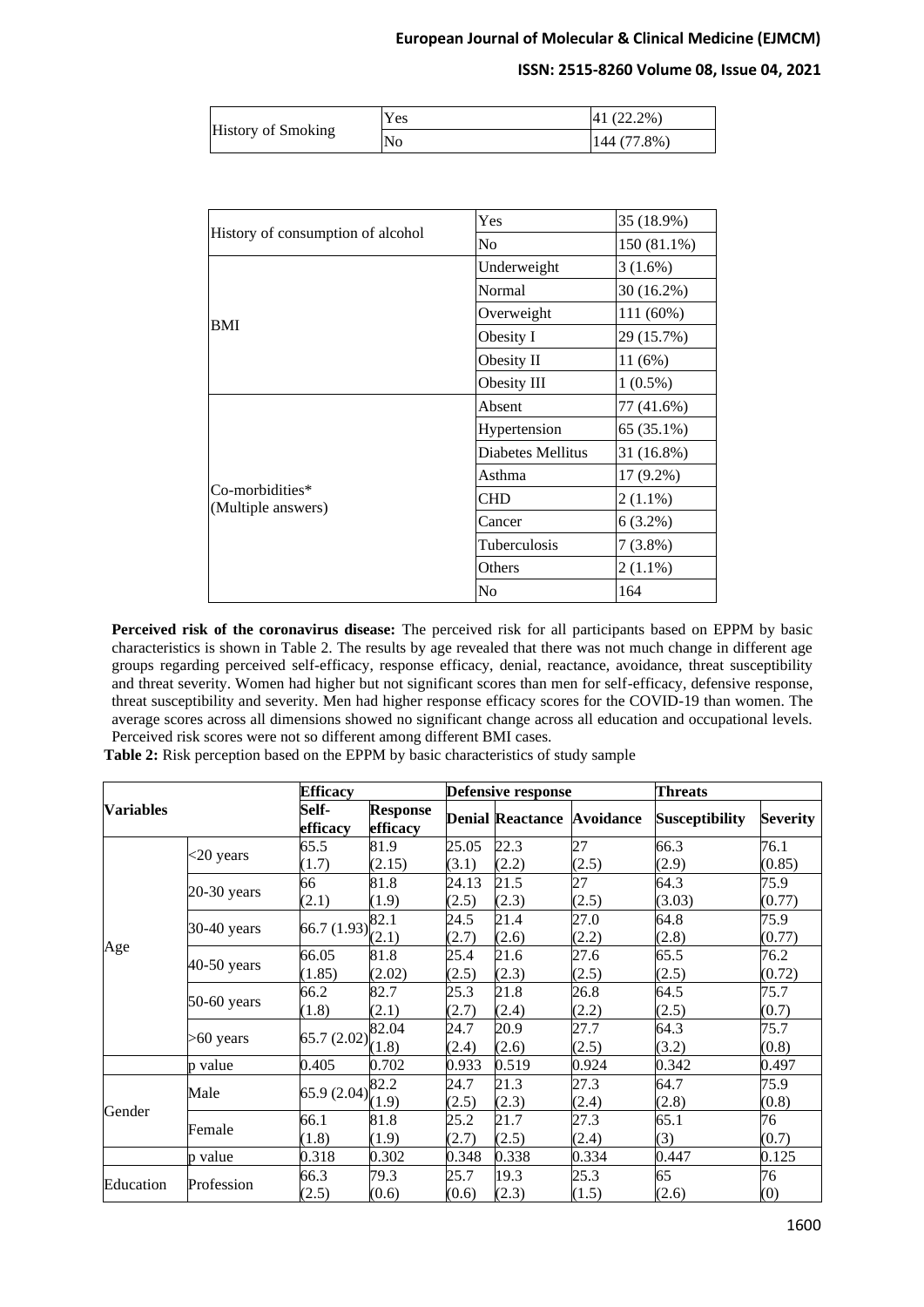### **ISSN: 2515-8260 Volume 08, Issue 04, 2021**

| <b>History of Smoking</b> | Y es | $41(22.2\%)$ |
|---------------------------|------|--------------|
|                           | No   | 144 (77.8%)  |

|                                       | Yes               | 35 (18.9%)  |  |
|---------------------------------------|-------------------|-------------|--|
| History of consumption of alcohol     | N <sub>0</sub>    | 150 (81.1%) |  |
|                                       | Underweight       | $3(1.6\%)$  |  |
|                                       | Normal            | 30 (16.2%)  |  |
|                                       | Overweight        | 111 (60%)   |  |
| <b>BMI</b>                            | Obesity I         | 29 (15.7%)  |  |
|                                       | Obesity II        | 11(6%)      |  |
|                                       | Obesity III       | $1(0.5\%)$  |  |
|                                       | Absent            | 77 (41.6%)  |  |
|                                       | Hypertension      | 65 (35.1%)  |  |
|                                       | Diabetes Mellitus | 31 (16.8%)  |  |
|                                       | Asthma            | $17(9.2\%)$ |  |
| Co-morbidities*<br>(Multiple answers) | <b>CHD</b>        | $2(1.1\%)$  |  |
|                                       | Cancer            | $6(3.2\%)$  |  |
|                                       | Tuberculosis      | $7(3.8\%)$  |  |
|                                       | Others            | $2(1.1\%)$  |  |
|                                       | N <sub>0</sub>    | 164         |  |

**Perceived risk of the coronavirus disease:** The perceived risk for all participants based on EPPM by basic characteristics is shown in Table 2. The results by age revealed that there was not much change in different age groups regarding perceived self-efficacy, response efficacy, denial, reactance, avoidance, threat susceptibility and threat severity. Women had higher but not significant scores than men for self-efficacy, defensive response, threat susceptibility and severity. Men had higher response efficacy scores for the COVID-19 than women. The average scores across all dimensions showed no significant change across all education and occupational levels. Perceived risk scores were not so different among different BMI cases.

|  |  | Table 2: Risk perception based on the EPPM by basic characteristics of study sample |  |
|--|--|-------------------------------------------------------------------------------------|--|
|  |  |                                                                                     |  |

| <b>Variables</b> |               | <b>Efficacy</b>                                           |                             |       | <b>Defensive response</b> |                  | <b>Threats</b>        |                 |
|------------------|---------------|-----------------------------------------------------------|-----------------------------|-------|---------------------------|------------------|-----------------------|-----------------|
|                  |               | Self-<br>efficacy                                         | <b>Response</b><br>efficacy |       | <b>Denial Reactance</b>   | <b>Avoidance</b> | <b>Susceptibility</b> | <b>Severity</b> |
|                  |               | 65.5                                                      | 81.9                        | 25.05 | 22.3                      | 27               | 66.3                  | 76.1            |
|                  | $<$ 20 years  | (1.7)                                                     | (2.15)                      | (3.1) | (2.2)                     | (2.5)            | (2.9)                 | (0.85)          |
|                  | $20-30$ years | 66                                                        | 81.8                        | 24.13 | 21.5                      | 27               | 64.3                  | 75.9            |
|                  |               | (2.1)                                                     | (1.9)                       | (2.5) | (2.3)                     | (2.5)            | (3.03)                | (0.77)          |
|                  | 30-40 years   |                                                           |                             | 24.5  | 21.4                      | 27.0             | 64.8                  | 75.9            |
|                  |               | 66.7 (1.93) $\begin{bmatrix} 82.1 \\ (2.1) \end{bmatrix}$ |                             | (2.7) | (2.6)                     | (2.2)            | (2.8)                 | (0.77)          |
| Age              |               | 66.05                                                     | 81.8                        | 25.4  | 21.6                      | 27.6             | 65.5                  | 76.2            |
|                  | 40-50 years   | (1.85)                                                    | (2.02)                      | (2.5) | (2.3)                     | (2.5)            | (2.5)                 | (0.72)          |
|                  | 50-60 years   | 66.2                                                      | 82.7                        | 25.3  | 21.8                      | 26.8             | 64.5                  | 75.7            |
|                  |               | (1.8)                                                     | (2.1)                       | (2.7) | (2.4)                     | (2.2)            | (2.5)                 | (0.7)           |
|                  |               |                                                           | 82.04                       | 24.7  | 20.9                      | 27.7             | 64.3                  | 75.7            |
|                  | $>60$ years   | 65.7 (2.02) $\binom{0.02}{1.8}$                           |                             | (2.4) | (2.6)                     | (2.5)            | (3.2)                 | (0.8)           |
|                  | p value       | 0.405                                                     | 0.702                       | 0.933 | 0.519                     | 0.924            | 0.342                 | 0.497           |
|                  |               |                                                           |                             | 24.7  | 21.3                      | 27.3             | 64.7                  | 75.9            |
|                  | Male          | 65.9 (2.04) $\begin{bmatrix} 82.2 \\ (1.9) \end{bmatrix}$ |                             | (2.5) | (2.3)                     | (2.4)            | (2.8)                 | (0.8)           |
| Gender           |               | 66.1                                                      | 81.8                        | 25.2  | 21.7                      | 27.3             | 65.1                  | 76              |
|                  | Female        | (1.8)                                                     | (1.9)                       | (2.7) | (2.5)                     | (2.4)            | (3)                   | (0.7)           |
|                  | p value       | 0.318                                                     | 0.302                       | 0.348 | 0.338                     | 0.334            | 0.447                 | 0.125           |
|                  |               | 66.3                                                      | 79.3                        | 25.7  | 19.3                      | 25.3             | 65                    | 76              |
| Education        | Profession    | (2.5)                                                     | (0.6)                       | (0.6) | (2.3)                     | (1.5)            | (2.6)                 | (0)             |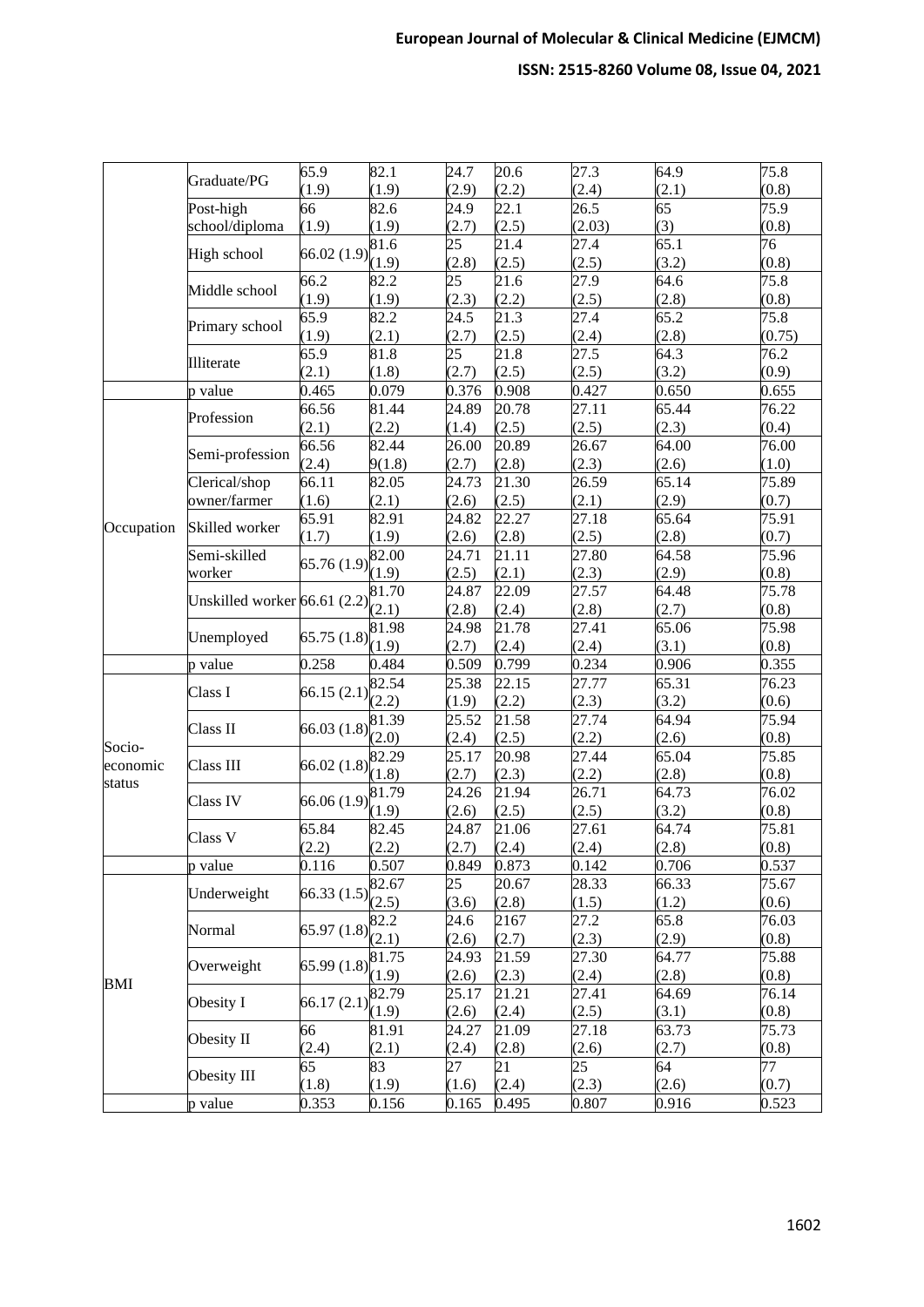|            |                                        | 65.9                                                       | $\overline{82.1}$ | 24.7                | 20.6               | 27.3   | 64.9  | 75.8   |
|------------|----------------------------------------|------------------------------------------------------------|-------------------|---------------------|--------------------|--------|-------|--------|
|            | Graduate/PG                            | (1.9)                                                      | (1.9)             | (2.9)               | (2.2)              | (2.4)  | (2.1) | (0.8)  |
|            | Post-high                              | 66                                                         | 82.6              | 24.9                | 22.1               | 26.5   | 65    | 75.9   |
|            | school/diploma                         | (1.9)                                                      | (1.9)             | (2.7)               | (2.5)              | (2.03) | (3)   | (0.8)  |
|            |                                        |                                                            | 81.6              | 25                  | 21.4               | 27.4   | 65.1  | 76     |
|            | High school                            | 66.02 (1.9) $\begin{bmatrix} 1.9 \\ (1.9) \end{bmatrix}$   |                   | (2.8)               | (2.5)              | (2.5)  | (3.2) | (0.8)  |
|            | Middle school                          | 66.2                                                       | 82.2              | $\overline{25}$     | $\overline{21.6}$  | 27.9   | 64.6  | 75.8   |
|            |                                        | (1.9)                                                      | (1.9)             | (2.3)               | (2.2)              | (2.5)  | (2.8) | (0.8)  |
|            | Primary school                         | 65.9                                                       | 82.2              | 24.5                | 21.3               | 27.4   | 65.2  | 75.8   |
|            |                                        | (1.9)                                                      | (2.1)             | (2.7)               | (2.5)              | (2.4)  | (2.8) | (0.75) |
|            | Illiterate                             | 65.9                                                       | 81.8              | 25                  | 21.8               | 27.5   | 64.3  | 76.2   |
|            |                                        | (2.1)                                                      | (1.8)             | (2.7)               | (2.5)              | (2.5)  | (3.2) | (0.9)  |
|            | p value                                | 0.465                                                      | 0.079             | 0.376               | 0.908              | 0.427  | 0.650 | 0.655  |
|            | Profession                             | 66.56                                                      | 81.44             | 24.89               | 20.78              | 27.11  | 65.44 | 76.22  |
|            |                                        | (2.1)                                                      | (2.2)             | (1.4)               | (2.5)              | (2.5)  | (2.3) | (0.4)  |
|            | Semi-profession                        | 66.56                                                      | 82.44             | 26.00               | 20.89              | 26.67  | 64.00 | 76.00  |
|            |                                        | (2.4)                                                      | 9(1.8)            | (2.7)               | (2.8)              | (2.3)  | (2.6) | (1.0)  |
|            | Clerical/shop                          | 66.11                                                      | 82.05             | 24.73               | 21.30              | 26.59  | 65.14 | 75.89  |
|            | owner/farmer                           | (1.6)                                                      | (2.1)             | (2.6)               | (2.5)              | (2.1)  | (2.9) | (0.7)  |
| Occupation | Skilled worker                         | 65.91                                                      | 82.91             | 24.82               | 22.27              | 27.18  | 65.64 | 75.91  |
|            |                                        | (1.7)                                                      | (1.9)             | (2.6)               | (2.8)              | (2.5)  | (2.8) | (0.7)  |
|            | Semi-skilled                           | 65.76(1.9)                                                 | 82.00             | 24.71               | 21.11              | 27.80  | 64.58 | 75.96  |
|            | worker<br>Unskilled worker 66.61 (2.2) |                                                            | (1.9)             | (2.5)               | (2.1)              | (2.3)  | (2.9) | (0.8)  |
|            |                                        |                                                            | 81.70             | 24.87               | 22.09              | 27.57  | 64.48 | 75.78  |
|            |                                        |                                                            | (2.1)             | (2.8)               | (2.4)              | (2.8)  | (2.7) | (0.8)  |
|            | Unemployed                             | 65.75(1.8)                                                 | 81.98             | 24.98               | 21.78              | 27.41  | 65.06 | 75.98  |
|            |                                        |                                                            | (1.9)             | (2.7)               | (2.4)              | (2.4)  | (3.1) | (0.8)  |
|            | p value                                | 0.258                                                      | 0.484             | 0.509               | 0.799              | 0.234  | 0.906 | 0.355  |
|            | Class I                                | $66.15(2.1)$ $(2.2)$                                       | 82.54             | 25.38               | $\overline{22.15}$ | 27.77  | 65.31 | 76.23  |
|            |                                        |                                                            |                   | (1.9)               | (2.2)              | (2.3)  | (3.2) | (0.6)  |
|            | Class II                               | 66.03(1.8)                                                 | 81.39             | 25.52               | 21.58              | 27.74  | 64.94 | 75.94  |
| Socio-     |                                        |                                                            | (2.0)             | (2.4)               | (2.5)              | (2.2)  | (2.6) | (0.8)  |
| economic   | Class III                              | 66.02(1.8)                                                 | 82.29             | $\overline{2}$ 5.17 | 20.98              | 27.44  | 65.04 | 75.85  |
| status     |                                        |                                                            | (1.8)             | (2.7)               | (2.3)              | (2.2)  | (2.8) | (0.8)  |
|            | Class IV                               | 66.06 (1.9)                                                | 81.79             | 24.26               | 21.94              | 26.71  | 64.73 | 76.02  |
|            |                                        |                                                            | (1.9)             | (2.6)               | (2.5)              | (2.5)  | (3.2) | (0.8)  |
|            | Class V                                | 65.84                                                      | 82.45             | 24.87               | 21.06              | 27.61  | 64.74 | 75.81  |
|            |                                        | (2.2)                                                      | (2.2)             | (2.7)               | (2.4)              | (2.4)  | (2.8) | (0.8)  |
|            | p value                                | 0.116                                                      | 0.507             | 0.849               | 0.873              | 0.142  | 0.706 | 0.537  |
|            | Underweight                            | 66.33 (1.5) $\begin{bmatrix} 82.67 \\ (2.5) \end{bmatrix}$ |                   | 25                  | 20.67              | 28.33  | 66.33 | 75.67  |
|            |                                        |                                                            |                   | (3.6)               | (2.8)              | (1.5)  | (1.2) | (0.6)  |
|            | Normal                                 | 65.97 $(1.8)$ $\begin{cases} 82.2 \\ (2.1) \end{cases}$    |                   | 24.6                | 2167               | 27.2   | 65.8  | 76.03  |
|            |                                        |                                                            |                   | (2.6)               | (2.7)              | (2.3)  | (2.9) | (0.8)  |
|            | Overweight                             | $(65.99 (1.8) \times 1.75)$                                |                   | 24.93               | 21.59              | 27.30  | 64.77 | 75.88  |
| <b>BMI</b> |                                        |                                                            | (1.9)             | (2.6)               | (2.3)              | (2.4)  | (2.8) | (0.8)  |
|            | Obesity I                              | 66.17(2.1)                                                 | 82.79             | 25.17               | 21.21              | 27.41  | 64.69 | 76.14  |
|            |                                        |                                                            | (1.9)             | (2.6)               | (2.4)              | (2.5)  | (3.1) | (0.8)  |
|            | Obesity II                             | 66                                                         | 81.91             | 24.27               | 21.09              | 27.18  | 63.73 | 75.73  |
|            |                                        | (2.4)                                                      | (2.1)             | (2.4)               | (2.8)              | (2.6)  | (2.7) | (0.8)  |
|            | Obesity III                            | 65                                                         | 83                | 27                  | 21                 | 25     | 64    | 77     |
|            |                                        | (1.8)                                                      | (1.9)             | (1.6)               | (2.4)              | (2.3)  | (2.6) | (0.7)  |
|            | p value                                | 0.353                                                      | 0.156             | 0.165               | 0.495              | 0.807  | 0.916 | 0.523  |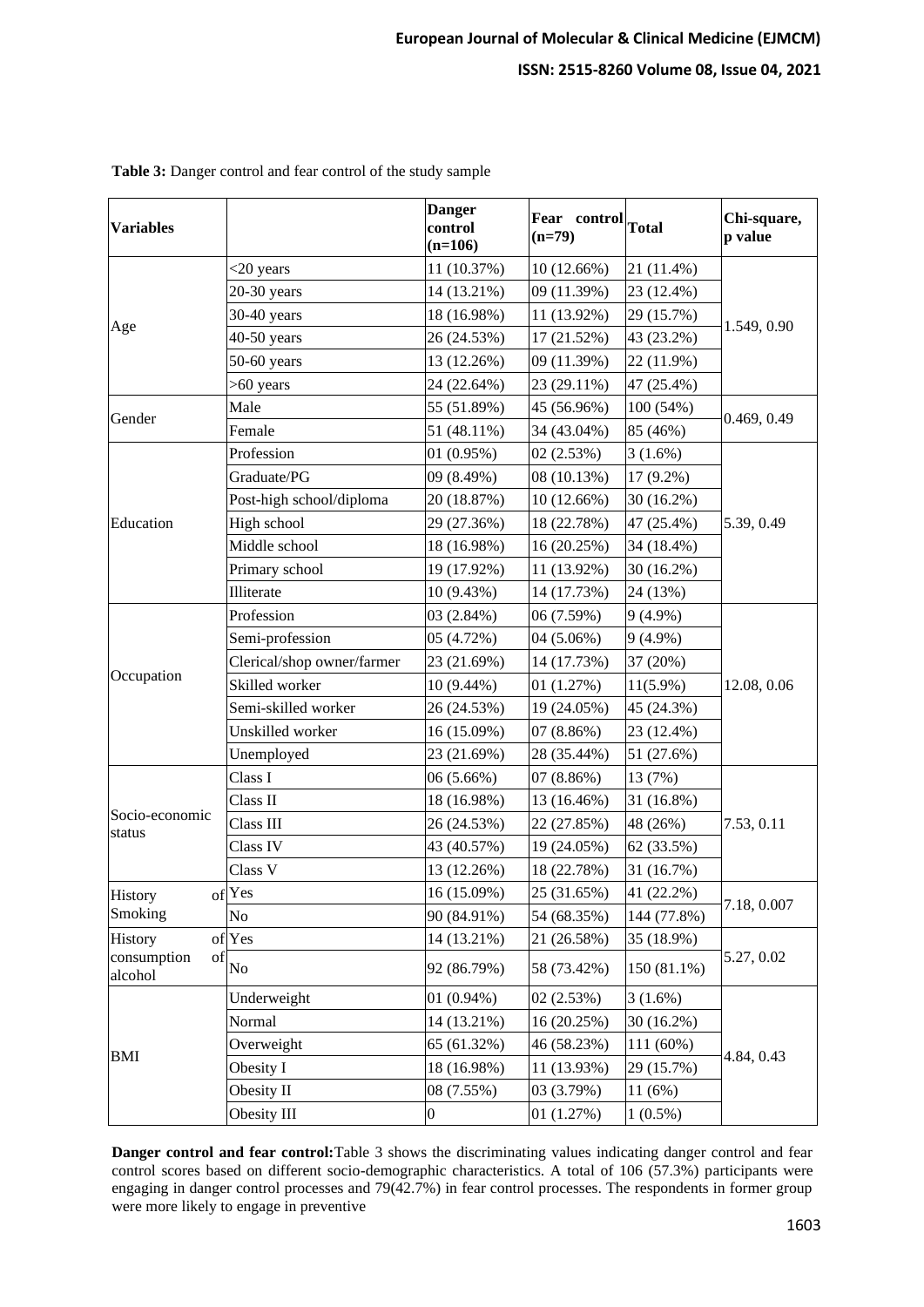| <b>Variables</b>             |                            | <b>Danger</b><br>control<br>$(n=106)$ | Fear control Total<br>$(n=79)$ |             | Chi-square,<br>p value |  |
|------------------------------|----------------------------|---------------------------------------|--------------------------------|-------------|------------------------|--|
|                              | $<$ 20 years               | 11 (10.37%)                           | 10(12.66%)                     | 21 (11.4%)  |                        |  |
|                              | $20-30$ years              | 14 (13.21%)                           | 09 (11.39%)                    | 23 (12.4%)  |                        |  |
|                              | 30-40 years                | 18 (16.98%)                           | 11 (13.92%)                    | 29 (15.7%)  |                        |  |
| Age                          | 40-50 years                | 26 (24.53%)                           | 17 (21.52%)                    | 43 (23.2%)  | 1.549, 0.90            |  |
|                              | $50-60$ years              | 13 (12.26%)                           | 09 (11.39%)                    | 22 (11.9%)  |                        |  |
|                              | $>60$ years                | 24 (22.64%)                           | 23 (29.11%)                    | 47 (25.4%)  |                        |  |
|                              | Male                       | 55 (51.89%)                           | 45 (56.96%)                    | 100 (54%)   |                        |  |
| Gender                       | Female                     | 51 (48.11%)                           | 34 (43.04%)                    | 85 (46%)    | 0.469, 0.49            |  |
|                              | Profession                 | 01(0.95%)                             | 02(2.53%)                      | 3(1.6%)     |                        |  |
|                              | Graduate/PG                | 09 (8.49%)                            | 08 (10.13%)                    | 17 (9.2%)   |                        |  |
|                              | Post-high school/diploma   | 20 (18.87%)                           | 10 (12.66%)                    | 30 (16.2%)  |                        |  |
| Education                    | High school                | 29 (27.36%)                           | 18 (22.78%)                    | 47 (25.4%)  | 5.39, 0.49             |  |
|                              | Middle school              | 18 (16.98%)                           | 16 (20.25%)                    | 34 (18.4%)  |                        |  |
|                              | Primary school             | 19 (17.92%)                           | 11 (13.92%)                    | 30 (16.2%)  |                        |  |
|                              | Illiterate                 | 10 (9.43%)                            | 14 (17.73%)                    | 24 (13%)    |                        |  |
|                              | Profession                 | 03 (2.84%)                            | 06 (7.59%)                     | $9(4.9\%)$  |                        |  |
|                              | Semi-profession            | 05 (4.72%)                            | 04 (5.06%)                     | $9(4.9\%)$  |                        |  |
|                              | Clerical/shop owner/farmer | 23 (21.69%)                           | 14 (17.73%)                    | 37 (20%)    |                        |  |
| Occupation                   | Skilled worker             | 10 (9.44%)                            | 01(1.27%)                      | $11(5.9\%)$ | 12.08, 0.06            |  |
|                              | Semi-skilled worker        | 26 (24.53%)                           | 19 (24.05%)                    | 45 (24.3%)  |                        |  |
|                              | Unskilled worker           | 16 (15.09%)                           | 07(8.86%)                      | 23 (12.4%)  |                        |  |
|                              | Unemployed                 | 23 (21.69%)                           | 28 (35.44%)                    | 51 (27.6%)  |                        |  |
|                              | Class I                    | 06 (5.66%)                            | $07(8.86\%)$                   | 13 (7%)     |                        |  |
|                              | Class II                   | 18 (16.98%)                           | 13 (16.46%)                    | 31 (16.8%)  |                        |  |
| Socio-economic<br>status     | Class III                  | 26 (24.53%)                           | 22 (27.85%)                    | 48 (26%)    | 7.53, 0.11             |  |
|                              | Class IV                   | 43 (40.57%)                           | 19 (24.05%)                    | 62 (33.5%)  |                        |  |
|                              | Class V                    | 13 (12.26%)                           | 18 (22.78%)                    | 31 (16.7%)  |                        |  |
| History                      | of Yes                     | 16 (15.09%)                           | 25(31.65%)                     | 41 (22.2%)  |                        |  |
| Smoking                      | No                         | 90 (84.91%)                           | 54 (68.35%)                    | 144 (77.8%) | 7.18, 0.007            |  |
| History                      | of Yes                     | 14 (13.21%)                           | 21 (26.58%)                    | 35 (18.9%)  |                        |  |
| consumption<br>of<br>alcohol | No                         | 92 (86.79%)                           | 58 (73.42%)                    | 150 (81.1%) | 5.27, 0.02             |  |
|                              | Underweight                | $01(0.94\%)$                          | 02(2.53%)                      | 3(1.6%)     |                        |  |
|                              | Normal                     | 14 (13.21%)                           | 16 (20.25%)                    | 30 (16.2%)  | 4.84, 0.43             |  |
|                              | Overweight                 | 65 (61.32%)                           | 46 (58.23%)                    | 111 (60%)   |                        |  |
| <b>BMI</b>                   | Obesity I                  | 18 (16.98%)                           | 11 (13.93%)                    | 29 (15.7%)  |                        |  |
|                              | Obesity II                 | 08 (7.55%)                            | 03 (3.79%)                     | 11(6%)      |                        |  |
|                              | Obesity III                | $\boldsymbol{0}$                      | 01(1.27%)                      | $1(0.5\%)$  |                        |  |

**Table 3:** Danger control and fear control of the study sample

**Danger control and fear control:**Table 3 shows the discriminating values indicating danger control and fear control scores based on different socio-demographic characteristics. A total of 106 (57.3%) participants were engaging in danger control processes and 79(42.7%) in fear control processes. The respondents in former group were more likely to engage in preventive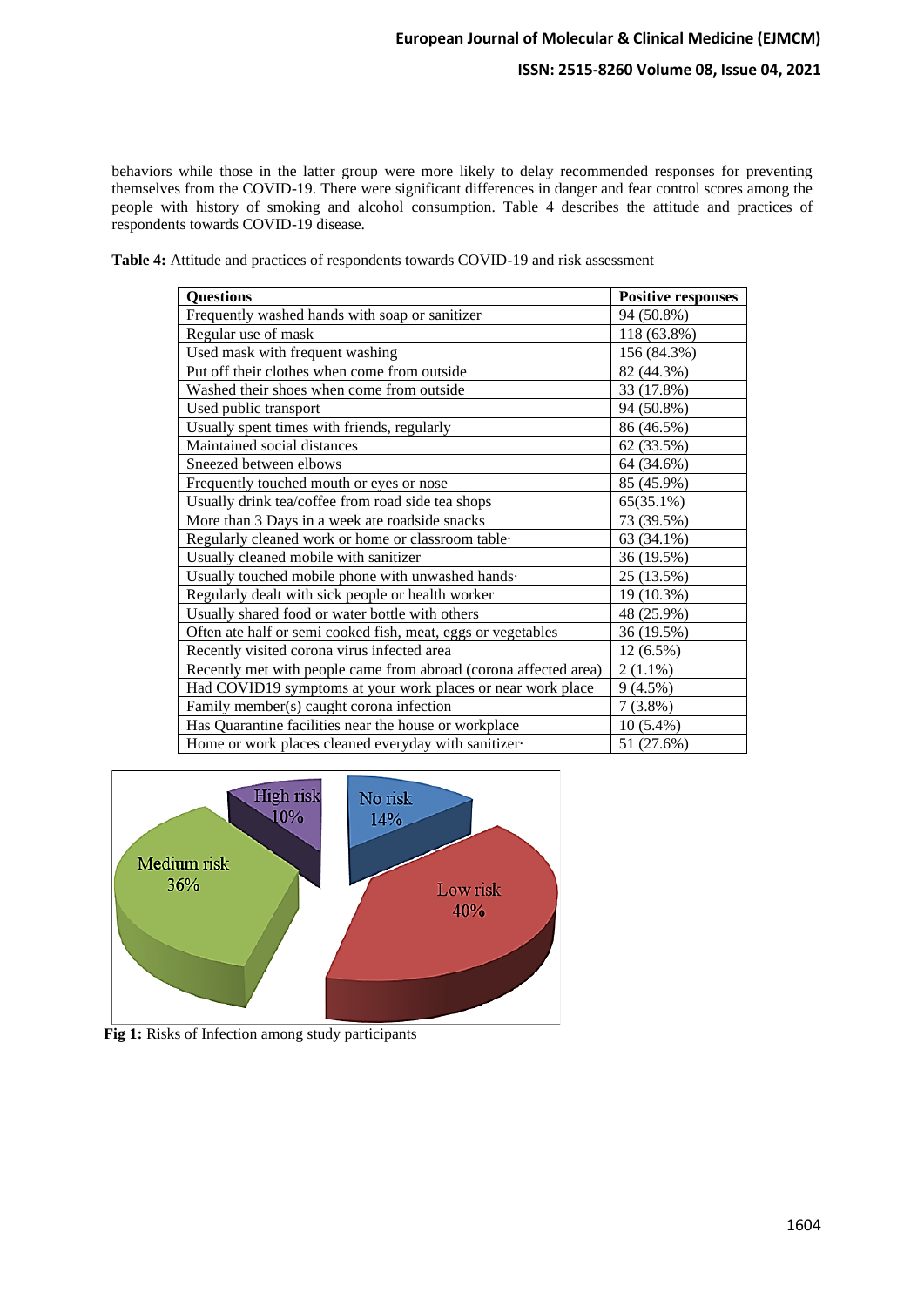### **ISSN: 2515-8260 Volume 08, Issue 04, 2021**

behaviors while those in the latter group were more likely to delay recommended responses for preventing themselves from the COVID-19. There were significant differences in danger and fear control scores among the people with history of smoking and alcohol consumption. Table 4 describes the attitude and practices of respondents towards COVID-19 disease.

| Table 4: Attitude and practices of respondents towards COVID-19 and risk assessment |
|-------------------------------------------------------------------------------------|
|-------------------------------------------------------------------------------------|

| <b>Questions</b>                                                 | <b>Positive responses</b> |
|------------------------------------------------------------------|---------------------------|
| Frequently washed hands with soap or sanitizer                   | 94 (50.8%)                |
| Regular use of mask                                              | 118 (63.8%)               |
| Used mask with frequent washing                                  | 156 (84.3%)               |
| Put off their clothes when come from outside                     | 82 (44.3%)                |
| Washed their shoes when come from outside                        | 33 (17.8%)                |
| Used public transport                                            | 94 (50.8%)                |
| Usually spent times with friends, regularly                      | 86 (46.5%)                |
| Maintained social distances                                      | 62 (33.5%)                |
| Sneezed between elbows                                           | 64 (34.6%)                |
| Frequently touched mouth or eyes or nose                         | 85 (45.9%)                |
| Usually drink tea/coffee from road side tea shops                | 65(35.1%)                 |
| More than 3 Days in a week ate roadside snacks                   | 73 (39.5%)                |
| Regularly cleaned work or home or classroom table-               | 63 (34.1%)                |
| Usually cleaned mobile with sanitizer                            | 36 (19.5%)                |
| Usually touched mobile phone with unwashed hands.                | 25 (13.5%)                |
| Regularly dealt with sick people or health worker                | 19 (10.3%)                |
| Usually shared food or water bottle with others                  | 48 (25.9%)                |
| Often ate half or semi cooked fish, meat, eggs or vegetables     | 36 (19.5%)                |
| Recently visited corona virus infected area                      | $12(6.5\%)$               |
| Recently met with people came from abroad (corona affected area) | $2(1.1\%)$                |
| Had COVID19 symptoms at your work places or near work place      | $9(4.5\%)$                |
| Family member(s) caught corona infection                         | $7(3.8\%)$                |
| Has Quarantine facilities near the house or workplace            | $10(5.4\%)$               |
| Home or work places cleaned everyday with sanitizer-             | 51 (27.6%)                |



Fig 1: Risks of Infection among study participants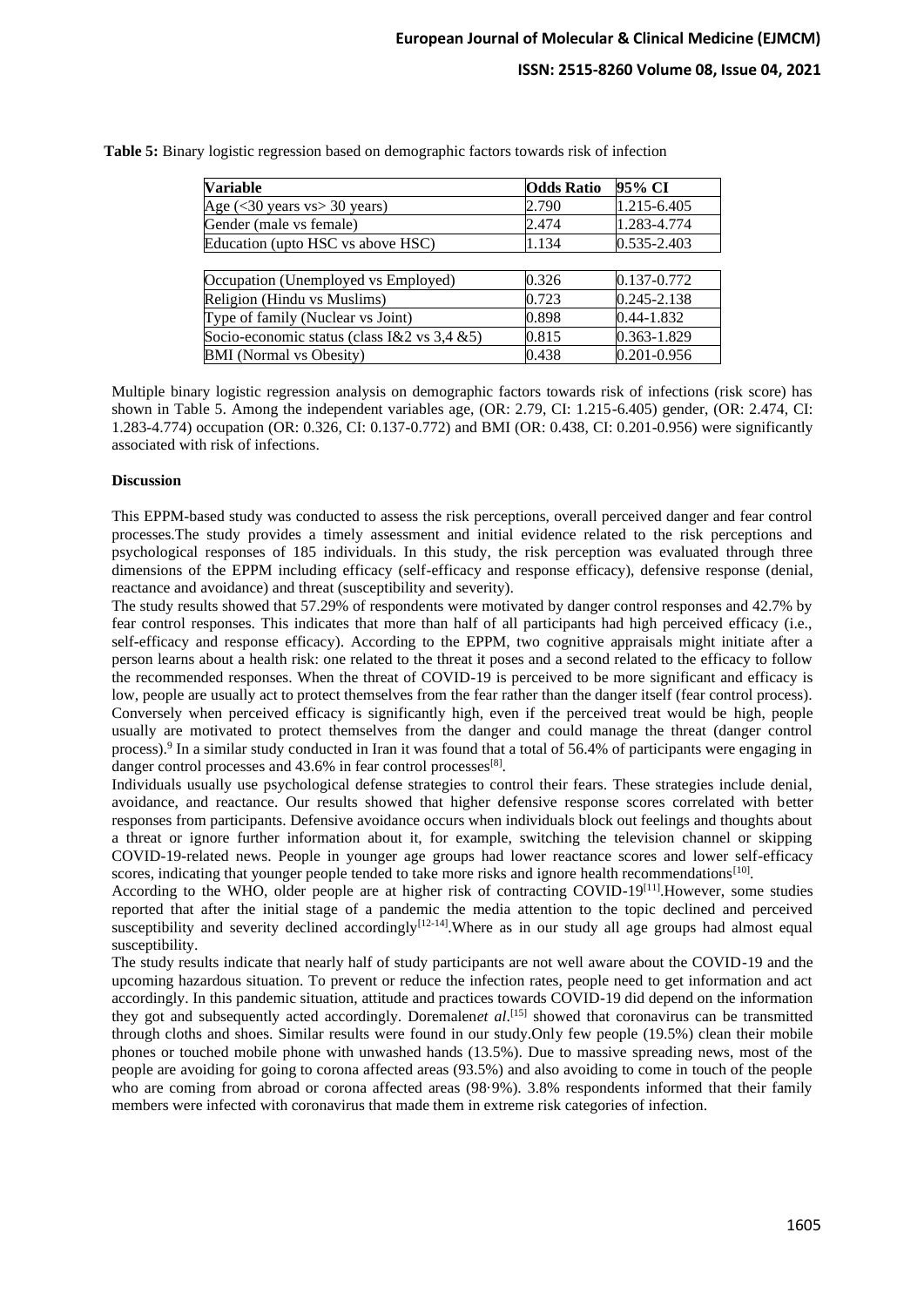| <b>Variable</b>                             | <b>Odds Ratio</b> | 95% CI      |
|---------------------------------------------|-------------------|-------------|
| Age $(<$ 30 years vs $>$ 30 years)          | 2.790             | 1.215-6.405 |
| Gender (male vs female)                     | 2.474             | 1.283-4.774 |
| Education (upto HSC vs above HSC)           | 1.134             | 0.535-2.403 |
|                                             |                   |             |
| Occupation (Unemployed vs Employed)         | 0.326             | 0.137-0.772 |
| Religion (Hindu vs Muslims)                 | 0.723             | 0.245-2.138 |
| Type of family (Nuclear vs Joint)           | 0.898             | 0.44-1.832  |
| Socio-economic status (class I&2 vs 3,4 &5) | 0.815             | 0.363-1.829 |
| <b>BMI</b> (Normal vs Obesity)              | 0.438             | 0.201-0.956 |

**Table 5:** Binary logistic regression based on demographic factors towards risk of infection

Multiple binary logistic regression analysis on demographic factors towards risk of infections (risk score) has shown in Table 5. Among the independent variables age, (OR: 2.79, CI: 1.215-6.405) gender, (OR: 2.474, CI: 1.283-4.774) occupation (OR: 0.326, CI: 0.137-0.772) and BMI (OR: 0.438, CI: 0.201-0.956) were significantly associated with risk of infections.

#### **Discussion**

This EPPM-based study was conducted to assess the risk perceptions, overall perceived danger and fear control processes.The study provides a timely assessment and initial evidence related to the risk perceptions and psychological responses of 185 individuals. In this study, the risk perception was evaluated through three dimensions of the EPPM including efficacy (self-efficacy and response efficacy), defensive response (denial, reactance and avoidance) and threat (susceptibility and severity).

The study results showed that 57.29% of respondents were motivated by danger control responses and 42.7% by fear control responses. This indicates that more than half of all participants had high perceived efficacy (i.e., self-efficacy and response efficacy). According to the EPPM, two cognitive appraisals might initiate after a person learns about a health risk: one related to the threat it poses and a second related to the efficacy to follow the recommended responses. When the threat of COVID-19 is perceived to be more significant and efficacy is low, people are usually act to protect themselves from the fear rather than the danger itself (fear control process). Conversely when perceived efficacy is significantly high, even if the perceived treat would be high, people usually are motivated to protect themselves from the danger and could manage the threat (danger control process).<sup>9</sup> In a similar study conducted in Iran it was found that a total of 56.4% of participants were engaging in danger control processes and 43.6% in fear control processes<sup>[8]</sup>.

Individuals usually use psychological defense strategies to control their fears. These strategies include denial, avoidance, and reactance. Our results showed that higher defensive response scores correlated with better responses from participants. Defensive avoidance occurs when individuals block out feelings and thoughts about a threat or ignore further information about it, for example, switching the television channel or skipping COVID-19-related news. People in younger age groups had lower reactance scores and lower self-efficacy scores, indicating that younger people tended to take more risks and ignore health recommendations<sup>[10]</sup>.

According to the WHO, older people are at higher risk of contracting COVID-19<sup>[11]</sup>. However, some studies reported that after the initial stage of a pandemic the media attention to the topic declined and perceived susceptibility and severity declined accordingly<sup>[12-14]</sup>. Where as in our study all age groups had almost equal susceptibility.

The study results indicate that nearly half of study participants are not well aware about the COVID-19 and the upcoming hazardous situation. To prevent or reduce the infection rates, people need to get information and act accordingly. In this pandemic situation, attitude and practices towards COVID-19 did depend on the information they got and subsequently acted accordingly. Doremalen*et al*. [15] showed that coronavirus can be transmitted through cloths and shoes. Similar results were found in our study.Only few people (19.5%) clean their mobile phones or touched mobile phone with unwashed hands (13.5%). Due to massive spreading news, most of the people are avoiding for going to corona affected areas (93.5%) and also avoiding to come in touch of the people who are coming from abroad or corona affected areas (98·9%). 3.8% respondents informed that their family members were infected with coronavirus that made them in extreme risk categories of infection.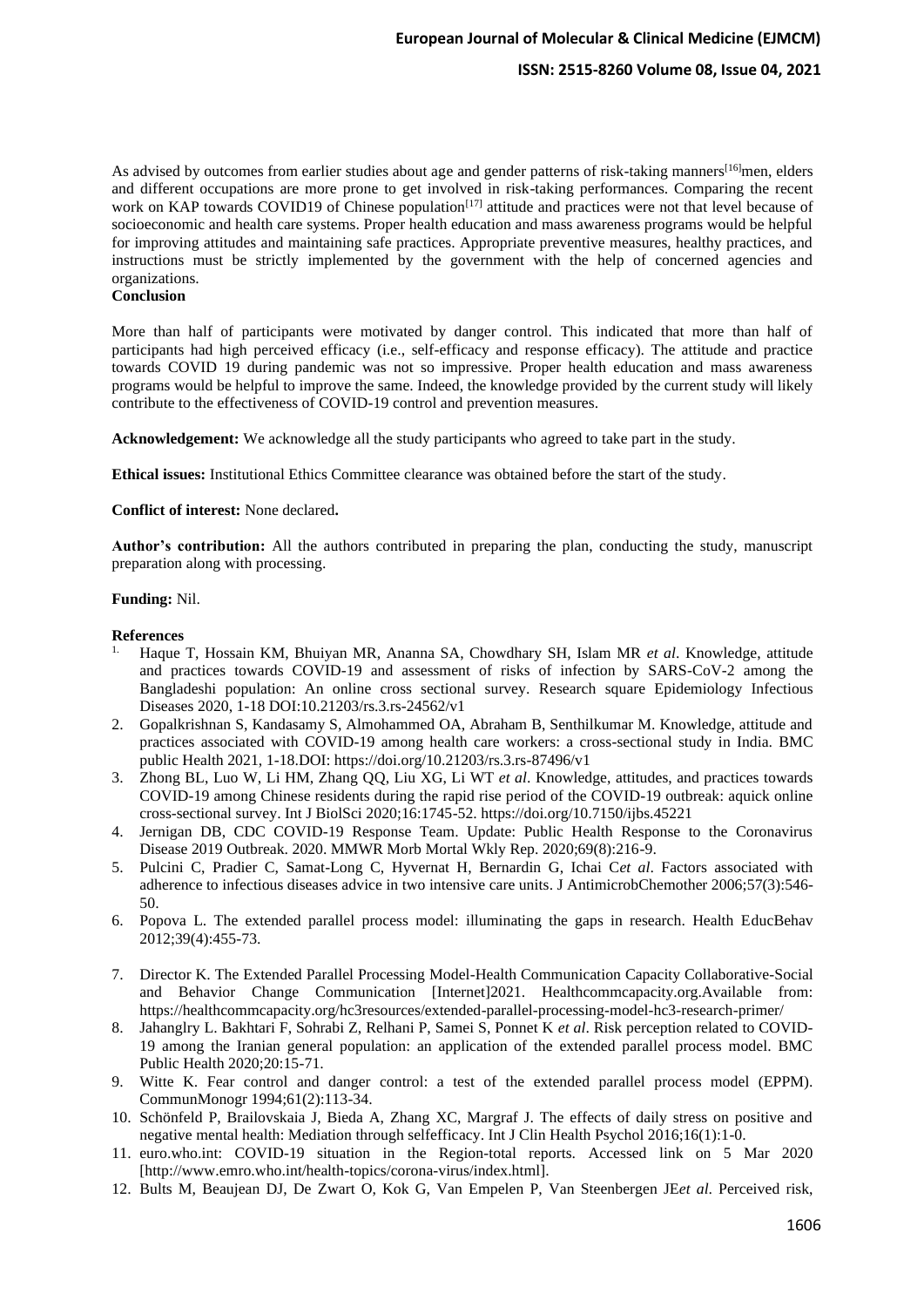As advised by outcomes from earlier studies about age and gender patterns of risk-taking manners<sup>[16]</sup>men, elders and different occupations are more prone to get involved in risk-taking performances. Comparing the recent work on KAP towards COVID19 of Chinese population<sup>[17]</sup> attitude and practices were not that level because of socioeconomic and health care systems. Proper health education and mass awareness programs would be helpful for improving attitudes and maintaining safe practices. Appropriate preventive measures, healthy practices, and instructions must be strictly implemented by the government with the help of concerned agencies and organizations.

### **Conclusion**

More than half of participants were motivated by danger control. This indicated that more than half of participants had high perceived efficacy (i.e., self-efficacy and response efficacy). The attitude and practice towards COVID 19 during pandemic was not so impressive. Proper health education and mass awareness programs would be helpful to improve the same. Indeed, the knowledge provided by the current study will likely contribute to the effectiveness of COVID-19 control and prevention measures.

**Acknowledgement:** We acknowledge all the study participants who agreed to take part in the study.

**Ethical issues:** Institutional Ethics Committee clearance was obtained before the start of the study.

#### **Conflict of interest:** None declared**.**

**Author's contribution:** All the authors contributed in preparing the plan, conducting the study, manuscript preparation along with processing.

#### **Funding:** Nil.

#### **References**

- 1. Haque T, Hossain KM, Bhuiyan MR, Ananna SA, Chowdhary SH, Islam MR *et al*. Knowledge, attitude and practices towards COVID-19 and assessment of risks of infection by SARS-CoV-2 among the Bangladeshi population: An online cross sectional survey. Research square Epidemiology Infectious Diseases 2020, 1-18 DOI:10.21203/rs.3.rs-24562/v1
- 2. Gopalkrishnan S, Kandasamy S, Almohammed OA, Abraham B, Senthilkumar M. Knowledge, attitude and practices associated with COVID-19 among health care workers: a cross-sectional study in India. BMC public Health 2021, 1-18.DOI: https://doi.org/10.21203/rs.3.rs-87496/v1
- 3. Zhong BL, Luo W, Li HM, Zhang QQ, Liu XG, Li WT *et al*. Knowledge, attitudes, and practices towards COVID-19 among Chinese residents during the rapid rise period of the COVID-19 outbreak: aquick online cross-sectional survey. Int J BiolSci 2020;16:1745-52. https://doi.org/10.7150/ijbs.45221
- 4. Jernigan DB, CDC COVID-19 Response Team. Update: Public Health Response to the Coronavirus Disease 2019 Outbreak. 2020. MMWR Morb Mortal Wkly Rep. 2020;69(8):216-9.
- 5. Pulcini C, Pradier C, Samat-Long C, Hyvernat H, Bernardin G, Ichai C*et al*. Factors associated with adherence to infectious diseases advice in two intensive care units. J AntimicrobChemother 2006;57(3):546- 50.
- 6. Popova L. The extended parallel process model: illuminating the gaps in research. Health EducBehav 2012;39(4):455-73.
- 7. Director K. The Extended Parallel Processing Model-Health Communication Capacity Collaborative-Social and Behavior Change Communication [Internet]2021. Healthcommcapacity.org.Available from: https://healthcommcapacity.org/hc3resources/extended-parallel-processing-model-hc3-research-primer/
- 8. Jahanglry L. Bakhtari F, Sohrabi Z, Relhani P, Samei S, Ponnet K *et al*. Risk perception related to COVID-19 among the Iranian general population: an application of the extended parallel process model. BMC Public Health 2020;20:15-71.
- 9. Witte K. Fear control and danger control: a test of the extended parallel process model (EPPM). CommunMonogr 1994;61(2):113-34.
- 10. Schönfeld P, Brailovskaia J, Bieda A, Zhang XC, Margraf J. The effects of daily stress on positive and negative mental health: Mediation through selfefficacy. Int J Clin Health Psychol 2016;16(1):1-0.
- 11. euro.who.int: COVID-19 situation in the Region-total reports. Accessed link on 5 Mar 2020 [http://www.emro.who.int/health-topics/corona-virus/index.html].
- 12. Bults M, Beaujean DJ, De Zwart O, Kok G, Van Empelen P, Van Steenbergen JE*et al*. Perceived risk,